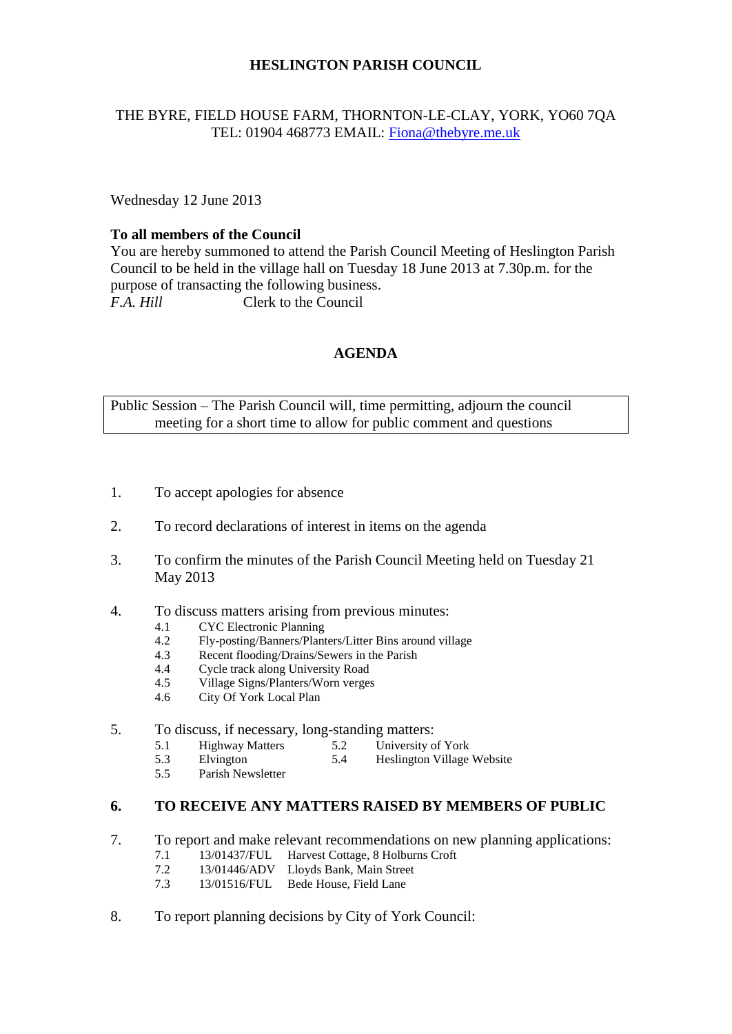### **HESLINGTON PARISH COUNCIL**

#### THE BYRE, FIELD HOUSE FARM, THORNTON-LE-CLAY, YORK, YO60 7QA TEL: 01904 468773 EMAIL: [Fiona@thebyre.me.uk](mailto:Fiona@thebyre.me.uk)

Wednesday 12 June 2013

#### **To all members of the Council**

You are hereby summoned to attend the Parish Council Meeting of Heslington Parish Council to be held in the village hall on Tuesday 18 June 2013 at 7.30p.m. for the purpose of transacting the following business. *F.A. Hill* Clerk to the Council

### **AGENDA**

Public Session – The Parish Council will, time permitting, adjourn the council meeting for a short time to allow for public comment and questions

- 1. To accept apologies for absence
- 2. To record declarations of interest in items on the agenda
- 3. To confirm the minutes of the Parish Council Meeting held on Tuesday 21 May 2013
- 4. To discuss matters arising from previous minutes:
	- 4.1 CYC Electronic Planning
	- 4.2 Fly-posting/Banners/Planters/Litter Bins around village
	- 4.3 Recent flooding/Drains/Sewers in the Parish
	- 4.4 Cycle track along University Road
	- 4.5 Village Signs/Planters/Worn verges
	- 4.6 City Of York Local Plan

## 5. To discuss, if necessary, long-standing matters:<br>5.1 Highway Matters 5.2 University of

- 5.1 Highway Matters 5.2 University of York<br>5.3 Elvington 5.4 Heslington Village
- 5.3 Elvington 5.4 Heslington Village Website<br>5.5 Parish Newsletter
- Parish Newsletter

#### **6. TO RECEIVE ANY MATTERS RAISED BY MEMBERS OF PUBLIC**

- 7. To report and make relevant recommendations on new planning applications:
	- 7.1 13/01437/FUL Harvest Cottage, 8 Holburns Croft
	- 7.2 13/01446/ADV Lloyds Bank, Main Street
	- 7.3 13/01516/FUL Bede House, Field Lane
- 8. To report planning decisions by City of York Council: